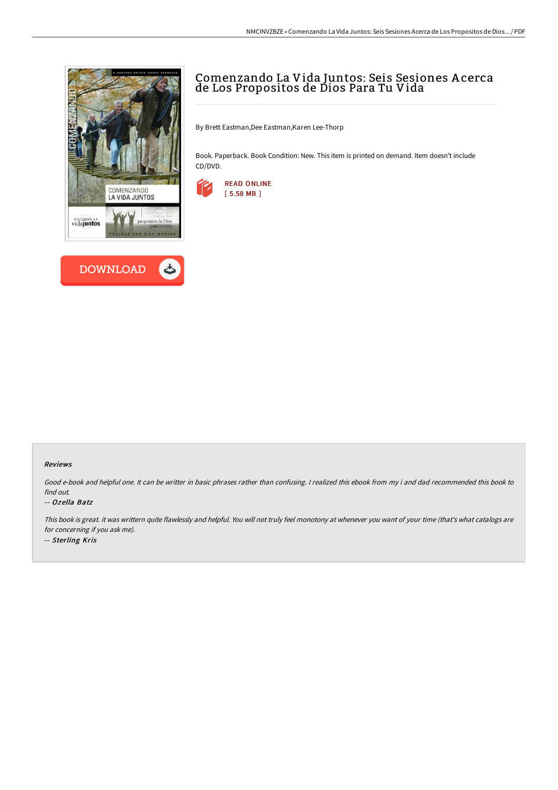



# Comenzando La Vida Juntos: Seis Sesiones A cerca de Los Propositos de Dios Para Tu Vida

By Brett Eastman,Dee Eastman,Karen Lee-Thorp

Book. Paperback. Book Condition: New. This item is printed on demand. Item doesn't include CD/DVD.



#### Reviews

Good e-book and helpful one. It can be writter in basic phrases rather than confusing. <sup>I</sup> realized this ebook from my i and dad recommended this book to find out.

### -- Ozella Batz

This book is great. it was writtern quite flawlessly and helpful. You will not truly feel monotony at whenever you want of your time (that's what catalogs are for concerning if you ask me). -- Sterling Kris